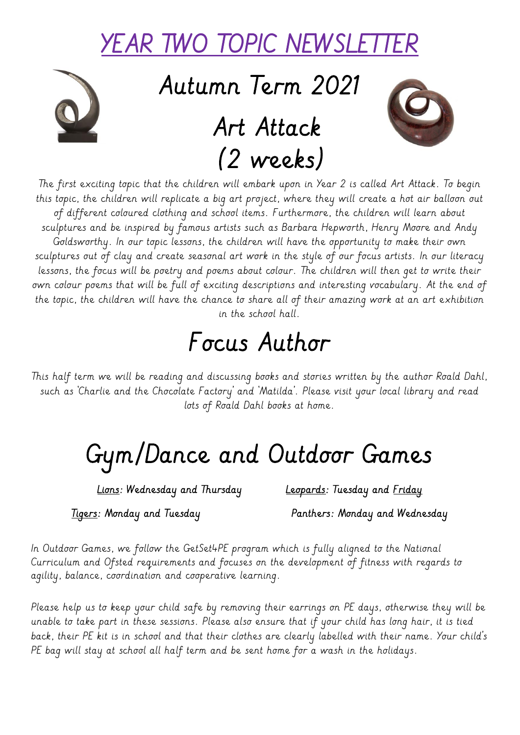#### YEAR TWO TOPIC NEWSLET

Autumn Term 2021

### Art Attack (2 weeks)



The first exciting topic that the children will embark upon in Year 2 is called Art Attack. To begin this topic, the children will replicate a big art project, where they will create a hot air balloon out of different coloured clothing and school items. Furthermore, the children will learn about sculptures and be inspired by famous artists such as Barbara Hepworth, Henry Moore and Andy Goldsworthy. In our topic lessons, the children will have the opportunity to make their own sculptures out of clay and create seasonal art work in the style of our focus artists. In our literacy lessons, the focus will be poetry and poems about colour. The children will then get to write their own colour poems that will be full of exciting descriptions and interesting vocabulary. At the end of the topic, the children will have the chance to share all of their amazing work at an art exhibition in the school hall.

### Focus Author

This half term we will be reading and discussing books and stories written by the author Roald Dahl, such as 'Charlie and the Chocolate Factory' and 'Matilda'. Please visit your local library and read lots of Roald Dahl books at home.

# Gym/Dance and Outdoor Games

Lions: Wednesday and Thursday Leopards: Tuesday and Friday

Tigers: Monday and Tuesday **Panthers: Monday and Wednesday** 

In Outdoor Games, we follow the GetSet4PE program which is fully aligned to the National Curriculum and Ofsted requirements and focuses on the development of fitness with regards to agility, balance, coordination and cooperative learning.

Please help us to keep your child safe by removing their earrings on PE days, otherwise they will be unable to take part in these sessions. Please also ensure that if your child has long hair, it is tied back, their PE kit is in school and that their clothes are clearly labelled with their name. Your child's PE bag will stay at school all half term and be sent home for a wash in the holidays.